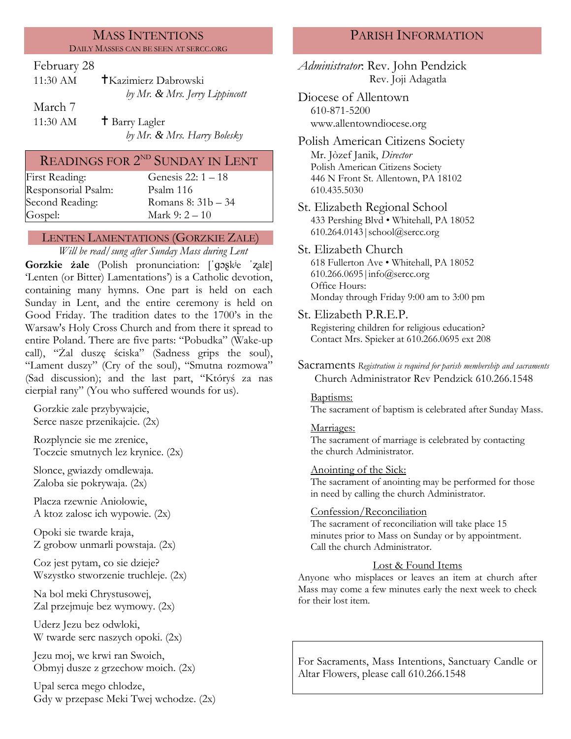#### MASS INTENTIONS DAILY MASSES CAN BE SEEN AT SERCC.ORG

#### February 28

| $11:30 \text{ AM}$ | †Kazimierz Dabrowski           |
|--------------------|--------------------------------|
|                    | by Mr. & Mrs. Jerry Lippincott |
| March 7            |                                |

11:30 AM  $\qquad$  † Barry Lagler *by Mr. & Mrs. Harry Bolesky*

# READINGS FOR  $2^{\text{ND}}$  SUNDAY IN LENT

| First Reading:      |
|---------------------|
| Responsorial Psalm: |
| Second Reading:     |
| Gospel:             |

Genesis 22:  $1 - 18$ [Psalm](http://www.usccb.org/bible/readings/bible/psalms/25:4) 116 Romans 8:  $31b - 34$ Mark 9:  $2 - 10$ 

### LENTEN LAMENTATIONS (GORZKIE ZALE)

*Will be read/sung after Sunday Mass during Lent*

**Gorzkie żale** (Polish pronunciation: [ˈɡɔʂkʲe ˈʐalɛ] 'Lenten (or Bitter) Lamentations') is a Catholic devotion, containing many hymns. One part is held on each Sunday in Lent, and the entire ceremony is held on Good Friday. The tradition dates to the 1700's in the Warsaw's Holy Cross Church and from there it spread to entire Poland. There are five parts: "Pobudka" (Wake-up call), "Żal duszę ściska" (Sadness grips the soul), "Lament duszy" (Cry of the soul), "Smutna rozmowa" (Sad discussion); and the last part, "Któryś za nas cierpiał rany" (You who suffered wounds for us).

Gorzkie zale przybywajcie, Serce nasze przenikajcie. (2x)

Rozplyncie sie me zrenice, Toczcie smutnych lez krynice. (2x)

Slonce, gwiazdy omdlewaja. Zaloba sie pokrywaja. (2x)

Placza rzewnie Aniolowie, A ktoz zalosc ich wypowie. (2x)

Opoki sie twarde kraja, Z grobow unmarli powstaja. (2x)

Coz jest pytam, co sie dzieje? Wszystko stworzenie truchleje. (2x)

Na bol meki Chrystusowej, Zal przejmuje bez wymowy. (2x)

Uderz Jezu bez odwloki, W twarde serc naszych opoki. (2x)

Jezu moj, we krwi ran Swoich, Obmyj dusze z grzechow moich. (2x)

Upal serca mego chlodze, Gdy w przepasc Meki Twej wchodze. (2x)

# PARISH INFORMATION

*Administrator*: Rev. John Pendzick Rev. Joji Adagatla

Diocese of Allentown 610-871-5200 www.allentowndiocese.org

Polish American Citizens Society Mr. Jòzef Janik, *Director* Polish American Citizens Society 446 N Front St. Allentown, PA 18102 610.435.5030

St. Elizabeth Regional School 433 Pershing Blvd • Whitehall, PA 18052 610.264.0143|school@sercc.org

# St. Elizabeth Church

618 Fullerton Ave • Whitehall, PA 18052 610.266.0695|info@sercc.org Office Hours: Monday through Friday 9:00 am to 3:00 pm

St. Elizabeth P.R.E.P.

Registering children for religious education? Contact Mrs. Spieker at 610.266.0695 ext 208

Sacraments *Registration is required for parish membership and sacraments* Church Administrator Rev Pendzick 610.266.1548

#### Baptisms:

The sacrament of baptism is celebrated after Sunday Mass.

#### Marriages:

The sacrament of marriage is celebrated by contacting the church Administrator.

#### Anointing of the Sick:

The sacrament of anointing may be performed for those in need by calling the church Administrator.

#### Confession/Reconciliation

The sacrament of reconciliation will take place 15 minutes prior to Mass on Sunday or by appointment. Call the church Administrator.

### Lost & Found Items

Anyone who misplaces or leaves an item at church after Mass may come a few minutes early the next week to check for their lost item.

For Sacraments, Mass Intentions, Sanctuary Candle or Altar Flowers, please call 610.266.1548